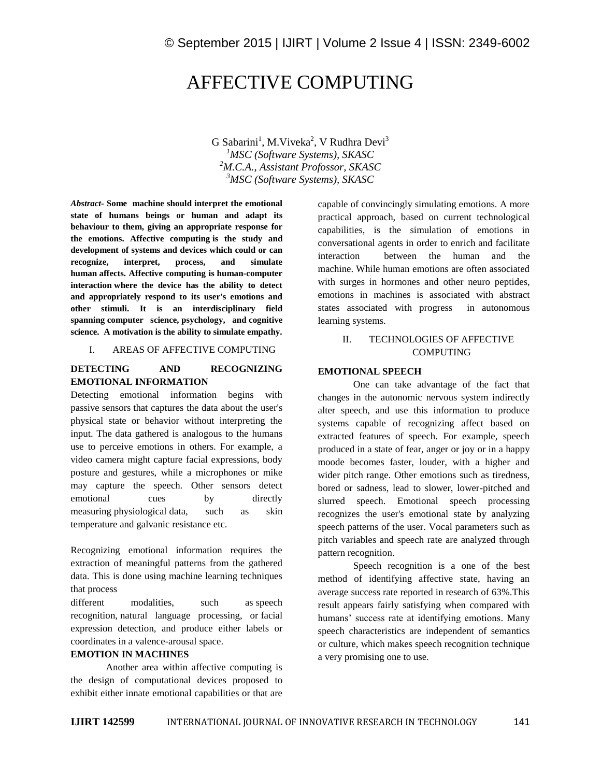# AFFECTIVE COMPUTING

 $G$  Sabarini<sup>1</sup>, M.Viveka<sup>2</sup>, V Rudhra Devi<sup>3</sup> *MSC (Software Systems), SKASC M.C.A., Assistant Profossor, SKASC MSC (Software Systems), SKASC*

*Abstract-* **Some machine should interpret the emotional state of humans beings or human and adapt its behaviour to them, giving an appropriate response for the emotions. Affective computing is the study and development of systems and devices which could or can recognize, interpret, process, and simulate human affects. Affective computing is human-computer interaction where the device has the ability to detect and appropriately respond to its user's emotions and other stimuli. It is an interdisciplinary field spanning computer science, psychology, and cognitive science. A motivation is the ability to simulate empathy.** 

#### I. AREAS OF AFFECTIVE COMPUTING

## **DETECTING AND RECOGNIZING EMOTIONAL INFORMATION**

Detecting emotional information begins with passive sensors that captures the data about the user's physical state or behavior without interpreting the input. The data gathered is analogous to the humans use to perceive emotions in others. For example, a video camera might capture facial expressions, body posture and gestures, while a microphones or mike may capture the speech. Other sensors detect emotional cues by directly measuring physiological data, such as skin temperature and galvanic resistance etc.

Recognizing emotional information requires the extraction of meaningful patterns from the gathered data. This is done using machine learning techniques that process

different modalities, such as speech recognition, natural language processing, or facial expression detection, and produce either labels or coordinates in a valence-arousal space.

#### **EMOTION IN MACHINES**

Another area within affective computing is the design of computational devices proposed to exhibit either innate emotional capabilities or that are capable of convincingly simulating emotions. A more practical approach, based on current technological capabilities, is the simulation of emotions in conversational agents in order to enrich and facilitate interaction between the human and the machine. While human emotions are often associated with surges in hormones and other neuro peptides, emotions in machines is associated with abstract states associated with progress in autonomous learning systems.

# II. TECHNOLOGIES OF AFFECTIVE COMPUTING

## **EMOTIONAL SPEECH**

One can take advantage of the fact that changes in the autonomic nervous system indirectly alter speech, and use this information to produce systems capable of recognizing affect based on extracted features of speech. For example, speech produced in a state of fear, anger or joy or in a happy moode becomes faster, louder, with a higher and wider pitch range. Other emotions such as tiredness, bored or sadness, lead to slower, lower-pitched and slurred speech. Emotional speech processing recognizes the user's emotional state by analyzing speech patterns of the user. Vocal parameters such as pitch variables and speech rate are analyzed through pattern recognition.

Speech recognition is a one of the best method of identifying affective state, having an average success rate reported in research of 63%.This result appears fairly satisfying when compared with humans' success rate at identifying emotions. Many speech characteristics are independent of semantics or culture, which makes speech recognition technique a very promising one to use.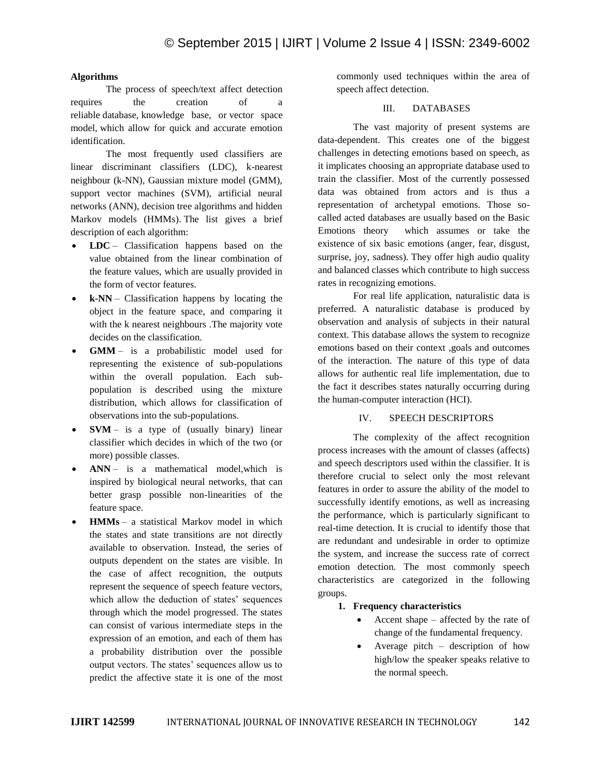## **Algorithms**

The process of speech/text affect detection requires the creation of a reliable database, knowledge base, or vector space model, which allow for quick and accurate emotion identification.

The most frequently used classifiers are linear discriminant classifiers (LDC), k-nearest neighbour (k-NN), Gaussian mixture model (GMM), support vector machines (SVM), artificial neural networks (ANN), decision tree algorithms and hidden Markov models (HMMs). The list gives a brief description of each algorithm:

- **LDC** Classification happens based on the value obtained from the linear combination of the feature values, which are usually provided in the form of vector features.
- **k-NN** Classification happens by locating the object in the feature space, and comparing it with the k nearest neighbours .The majority vote decides on the classification.
- **GMM** is a probabilistic model used for representing the existence of sub-populations within the overall population. Each subpopulation is described using the mixture distribution, which allows for classification of observations into the sub-populations.
- **SVM** is a type of (usually binary) linear classifier which decides in which of the two (or more) possible classes.
- **ANN** is a mathematical model,which is inspired by biological neural networks, that can better grasp possible non-linearities of the feature space.
- **HMMs** a statistical Markov model in which the states and state transitions are not directly available to observation. Instead, the series of outputs dependent on the states are visible. In the case of affect recognition, the outputs represent the sequence of speech feature vectors, which allow the deduction of states' sequences through which the model progressed. The states can consist of various intermediate steps in the expression of an emotion, and each of them has a probability distribution over the possible output vectors. The states' sequences allow us to predict the affective state it is one of the most

commonly used techniques within the area of speech affect detection.

## III. DATABASES

The vast majority of present systems are data-dependent. This creates one of the biggest challenges in detecting emotions based on speech, as it implicates choosing an appropriate database used to train the classifier. Most of the currently possessed data was obtained from actors and is thus a representation of archetypal emotions. Those socalled acted databases are usually based on the Basic Emotions theory which assumes or take the existence of six basic emotions (anger, fear, disgust, surprise, joy, sadness). They offer high audio quality and balanced classes which contribute to high success rates in recognizing emotions.

For real life application, naturalistic data is preferred. A naturalistic database is produced by observation and analysis of subjects in their natural context. This database allows the system to recognize emotions based on their context ,goals and outcomes of the interaction. The nature of this type of data allows for authentic real life implementation, due to the fact it describes states naturally occurring during the human-computer interaction (HCI).

## IV. SPEECH DESCRIPTORS

The complexity of the affect recognition process increases with the amount of classes (affects) and speech descriptors used within the classifier. It is therefore crucial to select only the most relevant features in order to assure the ability of the model to successfully identify emotions, as well as increasing the performance, which is particularly significant to real-time detection. It is crucial to identify those that are redundant and undesirable in order to optimize the system, and increase the success rate of correct emotion detection. The most commonly speech characteristics are categorized in the following groups.

- **1. Frequency characteristics**
	- Accent shape affected by the rate of change of the fundamental frequency.
	- Average pitch description of how high/low the speaker speaks relative to the normal speech.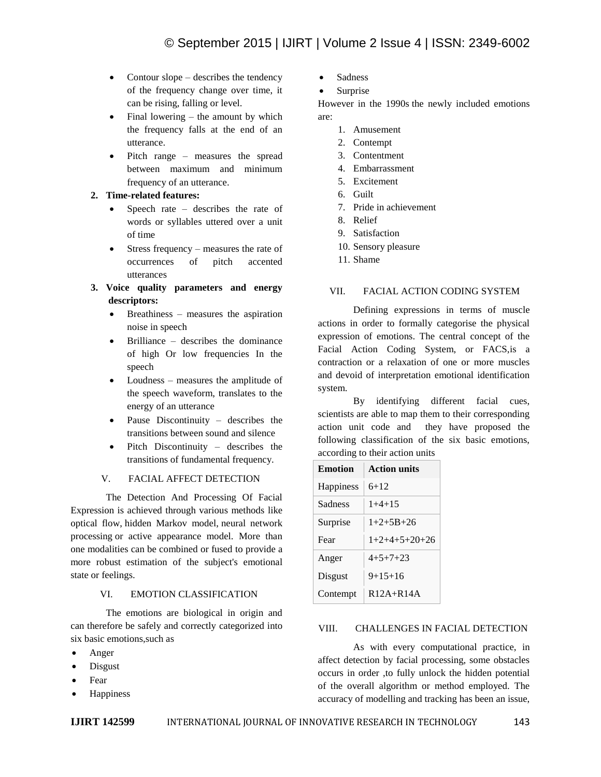- Contour slope describes the tendency of the frequency change over time, it can be rising, falling or level.
- Final lowering the amount by which the frequency falls at the end of an utterance.
- Pitch range measures the spread between maximum and minimum frequency of an utterance.

## **2. Time-related features:**

- Speech rate describes the rate of words or syllables uttered over a unit of time
- Stress frequency measures the rate of occurrences of pitch accented utterances
- **3. Voice quality parameters and energy descriptors:**
	- Breathiness measures the aspiration noise in speech
	- Brilliance describes the dominance of high Or low frequencies In the speech
	- Loudness measures the amplitude of the speech waveform, translates to the energy of an utterance
	- Pause Discontinuity describes the transitions between sound and silence
	- Pitch Discontinuity describes the transitions of fundamental frequency.

# V. FACIAL AFFECT DETECTION

The Detection And Processing Of Facial Expression is achieved through various methods like optical flow, hidden Markov model, neural network processing or active appearance model. More than one modalities can be combined or fused to provide a more robust estimation of the subject's emotional state or feelings.

## VI. EMOTION CLASSIFICATION

The emotions are biological in origin and can therefore be safely and correctly categorized into six basic emotions,such as

- Anger
- Disgust
- Fear
- **Happiness**
- Sadness
- Surprise

However in the 1990s the newly included emotions are:

- 1. Amusement
- 2. Contempt
- 3. Contentment
- 4. Embarrassment
- 5. Excitement
- 6. Guilt
- 7. Pride in achievement
- 8. Relief
- 9. Satisfaction
- 10. Sensory pleasure
- 11. Shame

# VII. FACIAL ACTION CODING SYSTEM

Defining expressions in terms of muscle actions in order to formally categorise the physical expression of emotions. The central concept of the Facial Action Coding System, or FACS,is a contraction or a relaxation of one or more muscles and devoid of interpretation emotional identification system.

By identifying different facial cues, scientists are able to map them to their corresponding action unit code and they have proposed the following classification of the six basic emotions, according to their action units

| <b>Emotion</b> | <b>Action units</b> |
|----------------|---------------------|
| Happiness      | $6+12$              |
| Sadness        | $1+4+15$            |
| Surprise       | $1+2+5B+26$         |
| Fear           | $1+2+4+5+20+26$     |
| Anger          | $4+5+7+23$          |
| Disgust        | $9+15+16$           |
| Contempt       | $R12A+R14A$         |

## VIII. CHALLENGES IN FACIAL DETECTION

As with every computational practice, in affect detection by facial processing, some obstacles occurs in order ,to fully unlock the hidden potential of the overall algorithm or method employed. The accuracy of modelling and tracking has been an issue,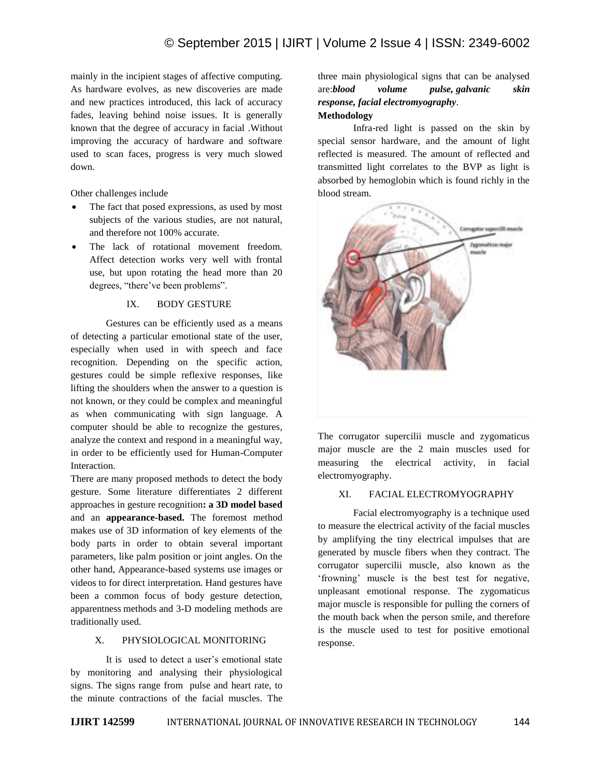mainly in the incipient stages of affective computing. As hardware evolves, as new discoveries are made and new practices introduced, this lack of accuracy fades, leaving behind noise issues. It is generally known that the degree of accuracy in facial .Without improving the accuracy of hardware and software used to scan faces, progress is very much slowed down.

Other challenges include

- The fact that posed expressions, as used by most subjects of the various studies, are not natural, and therefore not 100% accurate.
- The lack of rotational movement freedom. Affect detection works very well with frontal use, but upon rotating the head more than 20 degrees, "there've been problems".

#### IX. BODY GESTURE

Gestures can be efficiently used as a means of detecting a particular emotional state of the user, especially when used in with speech and face recognition. Depending on the specific action, gestures could be simple reflexive responses, like lifting the shoulders when the answer to a question is not known, or they could be complex and meaningful as when communicating with sign language. A computer should be able to recognize the gestures, analyze the context and respond in a meaningful way, in order to be efficiently used for Human-Computer Interaction.

There are many proposed methods to detect the body gesture. Some literature differentiates 2 different approaches in gesture recognition**: a 3D model based** and an **appearance-based.** The foremost method makes use of 3D information of key elements of the body parts in order to obtain several important parameters, like palm position or joint angles. On the other hand, Appearance-based systems use images or videos to for direct interpretation. Hand gestures have been a common focus of body gesture detection, apparentness methods and 3-D modeling methods are traditionally used.

## X. PHYSIOLOGICAL MONITORING

It is used to detect a user's emotional state by monitoring and analysing their physiological signs. The signs range from pulse and heart rate, to the minute contractions of the facial muscles. The

# three main physiological signs that can be analysed are:*blood volume pulse, galvanic skin response, facial electromyography*. **Methodology**

Infra-red light is passed on the skin by special sensor hardware, and the amount of light reflected is measured. The amount of reflected and transmitted light correlates to the BVP as light is absorbed by hemoglobin which is found richly in the blood stream.



The corrugator supercilii muscle and zygomaticus major muscle are the 2 main muscles used for measuring the electrical activity, in facial electromyography.

#### XI. FACIAL ELECTROMYOGRAPHY

Facial electromyography is a technique used to measure the electrical activity of the facial muscles by amplifying the tiny electrical impulses that are generated by muscle fibers when they contract. The corrugator supercilii muscle, also known as the 'frowning' muscle is the best test for negative, unpleasant emotional response. The zygomaticus major muscle is responsible for pulling the corners of the mouth back when the person smile, and therefore is the muscle used to test for positive emotional response.